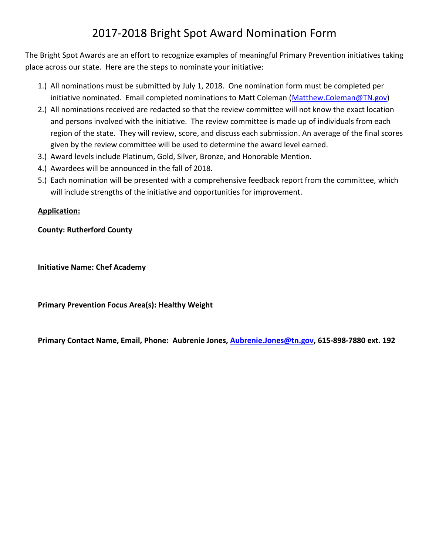# 2017-2018 Bright Spot Award Nomination Form

The Bright Spot Awards are an effort to recognize examples of meaningful Primary Prevention initiatives taking place across our state. Here are the steps to nominate your initiative:

- 1.) All nominations must be submitted by July 1, 2018. One nomination form must be completed per initiative nominated. Email completed nominations to Matt Coleman [\(Matthew.Coleman@TN.gov\)](mailto:Matthew.Coleman@TN.gov)
- 2.) All nominations received are redacted so that the review committee will not know the exact location and persons involved with the initiative. The review committee is made up of individuals from each region of the state. They will review, score, and discuss each submission. An average of the final scores given by the review committee will be used to determine the award level earned.
- 3.) Award levels include Platinum, Gold, Silver, Bronze, and Honorable Mention.
- 4.) Awardees will be announced in the fall of 2018.
- 5.) Each nomination will be presented with a comprehensive feedback report from the committee, which will include strengths of the initiative and opportunities for improvement.

#### **Application:**

#### **County: Rutherford County**

**Initiative Name: Chef Academy**

**Primary Prevention Focus Area(s): Healthy Weight**

**Primary Contact Name, Email, Phone: Aubrenie Jones, [Aubrenie.Jones@tn.gov,](mailto:Aubrenie.Jones@tn.gov) 615-898-7880 ext. 192**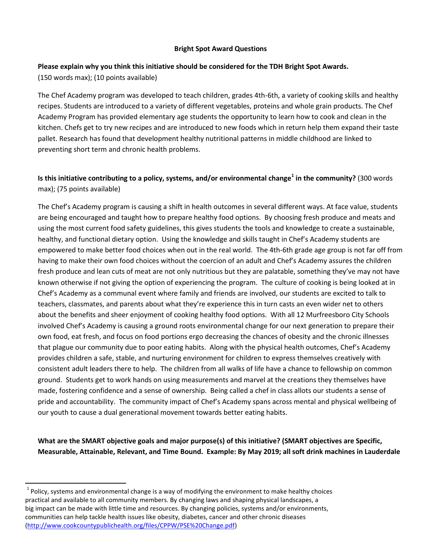#### **Bright Spot Award Questions**

## **Please explain why you think this initiative should be considered for the TDH Bright Spot Awards.**

(150 words max); (10 points available)

l

The Chef Academy program was developed to teach children, grades 4th-6th, a variety of cooking skills and healthy recipes. Students are introduced to a variety of different vegetables, proteins and whole grain products. The Chef Academy Program has provided elementary age students the opportunity to learn how to cook and clean in the kitchen. Chefs get to try new recipes and are introduced to new foods which in return help them expand their taste pallet. Research has found that development healthy nutritional patterns in middle childhood are linked to preventing short term and chronic health problems.

#### **Is this initiative contributing to a policy, systems, and/or environmental change<sup>1</sup> in the community?** (300 words max); (75 points available)

The Chef's Academy program is causing a shift in health outcomes in several different ways. At face value, students are being encouraged and taught how to prepare healthy food options. By choosing fresh produce and meats and using the most current food safety guidelines, this gives students the tools and knowledge to create a sustainable, healthy, and functional dietary option. Using the knowledge and skills taught in Chef's Academy students are empowered to make better food choices when out in the real world. The 4th-6th grade age group is not far off from having to make their own food choices without the coercion of an adult and Chef's Academy assures the children fresh produce and lean cuts of meat are not only nutritious but they are palatable, something they've may not have known otherwise if not giving the option of experiencing the program. The culture of cooking is being looked at in Chef's Academy as a communal event where family and friends are involved, our students are excited to talk to teachers, classmates, and parents about what they're experience this in turn casts an even wider net to others about the benefits and sheer enjoyment of cooking healthy food options. With all 12 Murfreesboro City Schools involved Chef's Academy is causing a ground roots environmental change for our next generation to prepare their own food, eat fresh, and focus on food portions ergo decreasing the chances of obesity and the chronic illnesses that plague our community due to poor eating habits. Along with the physical health outcomes, Chef's Academy provides children a safe, stable, and nurturing environment for children to express themselves creatively with consistent adult leaders there to help. The children from all walks of life have a chance to fellowship on common ground. Students get to work hands on using measurements and marvel at the creations they themselves have made, fostering confidence and a sense of ownership. Being called a chef in class allots our students a sense of pride and accountability. The community impact of Chef's Academy spans across mental and physical wellbeing of our youth to cause a dual generational movement towards better eating habits.

**What are the SMART objective goals and major purpose(s) of this initiative? (SMART objectives are Specific, Measurable, Attainable, Relevant, and Time Bound. Example: By May 2019; all soft drink machines in Lauderdale** 

 $^{1}$  Policy, systems and environmental change is a way of modifying the environment to make healthy choices practical and available to all community members. By changing laws and shaping physical landscapes, a big impact can be made with little time and resources. By changing policies, systems and/or environments, communities can help tackle health issues like obesity, diabetes, cancer and other chronic diseases [\(http://www.cookcountypublichealth.org/files/CPPW/PSE%20Change.pdf\)](http://www.cookcountypublichealth.org/files/CPPW/PSE%20Change.pdf)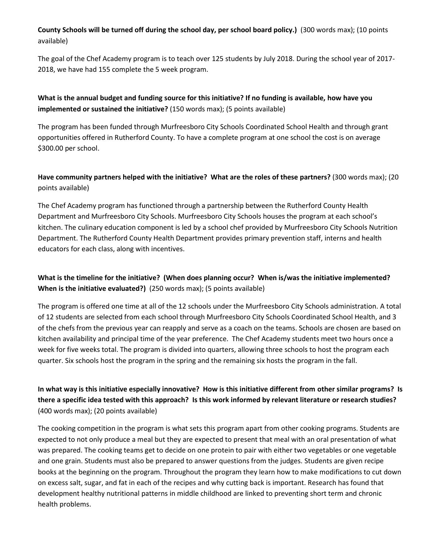**County Schools will be turned off during the school day, per school board policy.)** (300 words max); (10 points available)

The goal of the Chef Academy program is to teach over 125 students by July 2018. During the school year of 2017- 2018, we have had 155 complete the 5 week program.

#### **What is the annual budget and funding source for this initiative? If no funding is available, how have you implemented or sustained the initiative?** (150 words max); (5 points available)

The program has been funded through Murfreesboro City Schools Coordinated School Health and through grant opportunities offered in Rutherford County. To have a complete program at one school the cost is on average \$300.00 per school.

#### **Have community partners helped with the initiative? What are the roles of these partners?** (300 words max); (20 points available)

The Chef Academy program has functioned through a partnership between the Rutherford County Health Department and Murfreesboro City Schools. Murfreesboro City Schools houses the program at each school's kitchen. The culinary education component is led by a school chef provided by Murfreesboro City Schools Nutrition Department. The Rutherford County Health Department provides primary prevention staff, interns and health educators for each class, along with incentives.

#### **What is the timeline for the initiative? (When does planning occur? When is/was the initiative implemented? When is the initiative evaluated?)** (250 words max); (5 points available)

The program is offered one time at all of the 12 schools under the Murfreesboro City Schools administration. A total of 12 students are selected from each school through Murfreesboro City Schools Coordinated School Health, and 3 of the chefs from the previous year can reapply and serve as a coach on the teams. Schools are chosen are based on kitchen availability and principal time of the year preference. The Chef Academy students meet two hours once a week for five weeks total. The program is divided into quarters, allowing three schools to host the program each quarter. Six schools host the program in the spring and the remaining six hosts the program in the fall.

#### **In what way is this initiative especially innovative? How is this initiative different from other similar programs? Is there a specific idea tested with this approach? Is this work informed by relevant literature or research studies?**  (400 words max); (20 points available)

The cooking competition in the program is what sets this program apart from other cooking programs. Students are expected to not only produce a meal but they are expected to present that meal with an oral presentation of what was prepared. The cooking teams get to decide on one protein to pair with either two vegetables or one vegetable and one grain. Students must also be prepared to answer questions from the judges. Students are given recipe books at the beginning on the program. Throughout the program they learn how to make modifications to cut down on excess salt, sugar, and fat in each of the recipes and why cutting back is important. Research has found that development healthy nutritional patterns in middle childhood are linked to preventing short term and chronic health problems.